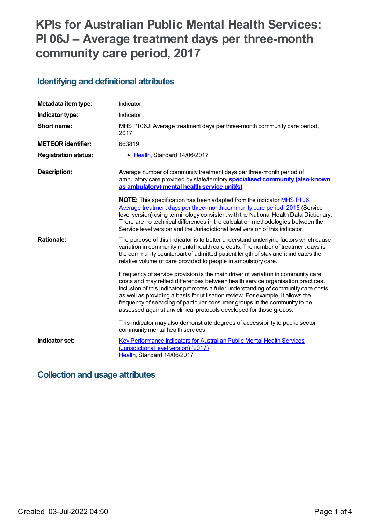# **KPIs for Australian Public Mental Health Services: PI 06J – Average treatment days per three-month community care period, 2017**

#### **Identifying and definitional attributes**

| Metadata item type:         | Indicator                                                                                                                                                                                                                                                                                                                                                                                                                                                                                            |
|-----------------------------|------------------------------------------------------------------------------------------------------------------------------------------------------------------------------------------------------------------------------------------------------------------------------------------------------------------------------------------------------------------------------------------------------------------------------------------------------------------------------------------------------|
| Indicator type:             | Indicator                                                                                                                                                                                                                                                                                                                                                                                                                                                                                            |
| Short name:                 | MHS PI06J: Average treatment days per three-month community care period,<br>2017                                                                                                                                                                                                                                                                                                                                                                                                                     |
| <b>METEOR identifier:</b>   | 663819                                                                                                                                                                                                                                                                                                                                                                                                                                                                                               |
| <b>Registration status:</b> | • Health, Standard 14/06/2017                                                                                                                                                                                                                                                                                                                                                                                                                                                                        |
| <b>Description:</b>         | Average number of community treatment days per three-month period of<br>ambulatory care provided by state/territory <b>specialised community (also known</b><br>as ambulatory) mental health service unit(s).                                                                                                                                                                                                                                                                                        |
|                             | <b>NOTE:</b> This specification has been adapted from the indicator <b>MHS P106:</b><br>Average treatment days per three-month community care period, 2015 (Service<br>level version) using terminology consistent with the National Health Data Dictionary.<br>There are no technical differences in the calculation methodologies between the<br>Service level version and the Jurisdictional level version of this indicator.                                                                     |
| <b>Rationale:</b>           | The purpose of this indicator is to better understand underlying factors which cause<br>variation in community mental health care costs. The number of treatment days is<br>the community counterpart of admitted patient length of stay and it indicates the<br>relative volume of care provided to people in ambulatory care.                                                                                                                                                                      |
|                             | Frequency of service provision is the main driver of variation in community care<br>costs and may reflect differences between health service organisation practices.<br>Inclusion of this indicator promotes a fuller understanding of community care costs<br>as well as providing a basis for utilisation review. For example, it allows the<br>frequency of servicing of particular consumer groups in the community to be<br>assessed against any clinical protocols developed for those groups. |
|                             | This indicator may also demonstrate degrees of accessibility to public sector<br>community mental health services.                                                                                                                                                                                                                                                                                                                                                                                   |
| Indicator set:              | Key Performance Indicators for Australian Public Mental Health Services<br>(Jurisdictional level version) (2017)<br>Health, Standard 14/06/2017                                                                                                                                                                                                                                                                                                                                                      |

### **Collection and usage attributes**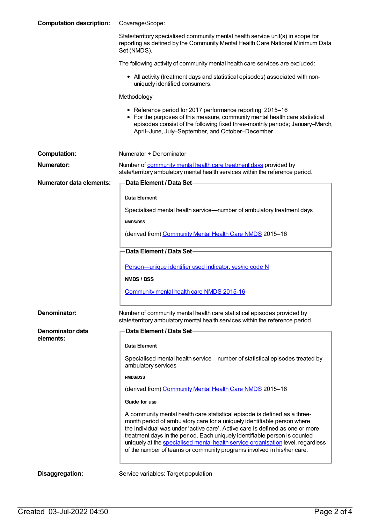| <b>Computation description:</b> | Coverage/Scope:                                                                                                                                                                                                                                                                                                                                                                                                                                                                    |
|---------------------------------|------------------------------------------------------------------------------------------------------------------------------------------------------------------------------------------------------------------------------------------------------------------------------------------------------------------------------------------------------------------------------------------------------------------------------------------------------------------------------------|
|                                 | State/territory specialised community mental health service unit(s) in scope for<br>reporting as defined by the Community Mental Health Care National Minimum Data<br>Set (NMDS).                                                                                                                                                                                                                                                                                                  |
|                                 | The following activity of community mental health care services are excluded:                                                                                                                                                                                                                                                                                                                                                                                                      |
|                                 | • All activity (treatment days and statistical episodes) associated with non-<br>uniquely identified consumers.                                                                                                                                                                                                                                                                                                                                                                    |
|                                 | Methodology:                                                                                                                                                                                                                                                                                                                                                                                                                                                                       |
|                                 | • Reference period for 2017 performance reporting: 2015-16<br>• For the purposes of this measure, community mental health care statistical<br>episodes consist of the following fixed three-monthly periods; January-March,<br>April-June, July-September, and October-December.                                                                                                                                                                                                   |
| <b>Computation:</b>             | Numerator + Denominator                                                                                                                                                                                                                                                                                                                                                                                                                                                            |
| Numerator:                      | Number of community mental health care treatment days provided by<br>state/territory ambulatory mental health services within the reference period.                                                                                                                                                                                                                                                                                                                                |
| <b>Numerator data elements:</b> | Data Element / Data Set-                                                                                                                                                                                                                                                                                                                                                                                                                                                           |
|                                 | Data Element                                                                                                                                                                                                                                                                                                                                                                                                                                                                       |
|                                 | Specialised mental health service-number of ambulatory treatment days<br><b>NMDS/DSS</b>                                                                                                                                                                                                                                                                                                                                                                                           |
|                                 | (derived from) Community Mental Health Care NMDS 2015-16                                                                                                                                                                                                                                                                                                                                                                                                                           |
|                                 | Data Element / Data Set                                                                                                                                                                                                                                                                                                                                                                                                                                                            |
|                                 | Person-unique identifier used indicator, yes/no code N                                                                                                                                                                                                                                                                                                                                                                                                                             |
|                                 | NMDS / DSS                                                                                                                                                                                                                                                                                                                                                                                                                                                                         |
|                                 | Community mental health care NMDS 2015-16                                                                                                                                                                                                                                                                                                                                                                                                                                          |
| Denominator:                    | Number of community mental health care statistical episodes provided by<br>state/territory ambulatory mental health services within the reference period.                                                                                                                                                                                                                                                                                                                          |
| Denominator data<br>elements:   | Data Element / Data Set                                                                                                                                                                                                                                                                                                                                                                                                                                                            |
|                                 | Data Element                                                                                                                                                                                                                                                                                                                                                                                                                                                                       |
|                                 | Specialised mental health service—number of statistical episodes treated by<br>ambulatory services                                                                                                                                                                                                                                                                                                                                                                                 |
|                                 | <b>NMDS/DSS</b>                                                                                                                                                                                                                                                                                                                                                                                                                                                                    |
|                                 | (derived from) Community Mental Health Care NMDS 2015-16                                                                                                                                                                                                                                                                                                                                                                                                                           |
|                                 | Guide for use                                                                                                                                                                                                                                                                                                                                                                                                                                                                      |
|                                 | A community mental health care statistical episode is defined as a three-<br>month period of ambulatory care for a uniquely identifiable person where<br>the individual was under 'active care'. Active care is defined as one or more<br>treatment days in the period. Each uniquely identifiable person is counted<br>uniquely at the specialised mental health service organisation level, regardless<br>of the number of teams or community programs involved in his/her care. |
| Disaggregation:                 | Service variables: Target population                                                                                                                                                                                                                                                                                                                                                                                                                                               |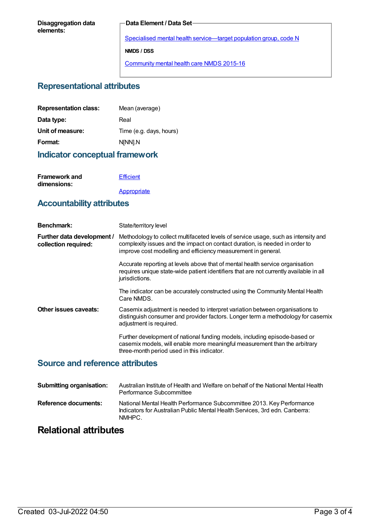#### **Data Element / Data Set**

Specialised mental health [service—target](https://meteor.aihw.gov.au/content/493010) population group, code N **NMDS / DSS** [Community](https://meteor.aihw.gov.au/content/565694) mental health care NMDS 2015-16

#### **Representational attributes**

| <b>Representation class:</b> | Mean (average)          |
|------------------------------|-------------------------|
| Data type:                   | Real                    |
| Unit of measure:             | Time (e.g. days, hours) |
| Format:                      | N[NN].N                 |
|                              |                         |

#### **Indicator conceptual framework**

| <b>Framework and</b> | Efficient   |
|----------------------|-------------|
| dimensions:          |             |
|                      | Appropriate |

#### **Accountability attributes**

| <b>Benchmark:</b>                                  | State/territory level                                                                                                                                                                                                              |
|----------------------------------------------------|------------------------------------------------------------------------------------------------------------------------------------------------------------------------------------------------------------------------------------|
| Further data development /<br>collection required: | Methodology to collect multifaceted levels of service usage, such as intensity and<br>complexity issues and the impact on contact duration, is needed in order to<br>improve cost modelling and efficiency measurement in general. |
|                                                    | Accurate reporting at levels above that of mental health service organisation<br>requires unique state-wide patient identifiers that are not currently available in all<br>jurisdictions.                                          |
|                                                    | The indicator can be accurately constructed using the Community Mental Health<br>Care NMDS.                                                                                                                                        |
| Other issues caveats:                              | Casemix adjustment is needed to interpret variation between organisations to<br>distinguish consumer and provider factors. Longer term a methodology for casemix<br>adjustment is required.                                        |
|                                                    | Further development of national funding models, including episode-based or<br>casemix models, will enable more meaningful measurement than the arbitrary<br>three-month period used in this indicator.                             |

#### **Source and reference attributes**

| <b>Submitting organisation:</b> | Australian Institute of Health and Welfare on behalf of the National Mental Health<br>Performance Subcommittee                                                 |
|---------------------------------|----------------------------------------------------------------------------------------------------------------------------------------------------------------|
| Reference documents:            | National Mental Health Performance Subcommittee 2013. Key Performance<br>Indicators for Australian Public Mental Health Services. 3rd edn. Canberra:<br>NMHPC. |

## **Relational attributes**